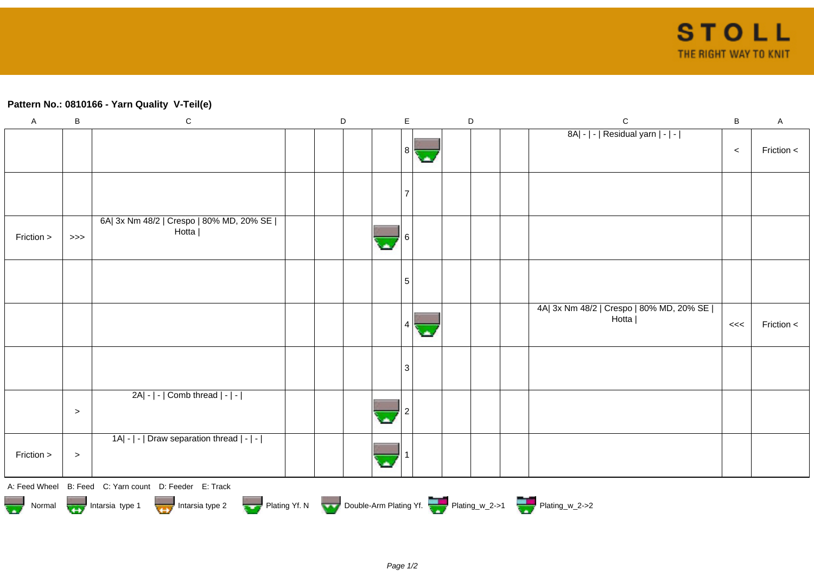## **Pattern No.: 0810166 - Yarn Quality V-Teil(e)**

| $\mathsf A$                                                                                   | B         | ${\bf C}$                                              |  | D |  | E  |  |  | D |  | $\mathbf C$                                         | B     | $\mathsf A$ |
|-----------------------------------------------------------------------------------------------|-----------|--------------------------------------------------------|--|---|--|----|--|--|---|--|-----------------------------------------------------|-------|-------------|
|                                                                                               |           |                                                        |  |   |  | 81 |  |  |   |  | 8A  -   -   Residual yarn   -   -                   | $\,<$ | Friction <  |
|                                                                                               |           |                                                        |  |   |  |    |  |  |   |  |                                                     |       |             |
| Friction >                                                                                    | $>>>$     | 6A  3x Nm 48/2   Crespo   80% MD, 20% SE  <br>Hotta    |  |   |  |    |  |  |   |  |                                                     |       |             |
|                                                                                               |           |                                                        |  |   |  | 5  |  |  |   |  |                                                     |       |             |
|                                                                                               |           |                                                        |  |   |  |    |  |  |   |  | 4A  3x Nm 48/2   Crespo   80% MD, 20% SE  <br>Hotta | $<<$  | Friction <  |
|                                                                                               |           |                                                        |  |   |  | 3  |  |  |   |  |                                                     |       |             |
|                                                                                               | $\, > \,$ | $2A - $ - $ $ Comb thread $ - $ - $ $                  |  |   |  |    |  |  |   |  |                                                     |       |             |
| Friction >                                                                                    | $\, > \,$ | 1A  -   -   Draw separation thread   -   -             |  |   |  |    |  |  |   |  |                                                     |       |             |
|                                                                                               |           | A: Feed Wheel B: Feed C: Yarn count D: Feeder E: Track |  |   |  |    |  |  |   |  |                                                     |       |             |
| Normal Montain Strategy Intarsia type 2 buttarsia type 2 Plating Yf. N Double-Arm Plating Yf. |           |                                                        |  |   |  |    |  |  |   |  |                                                     |       |             |